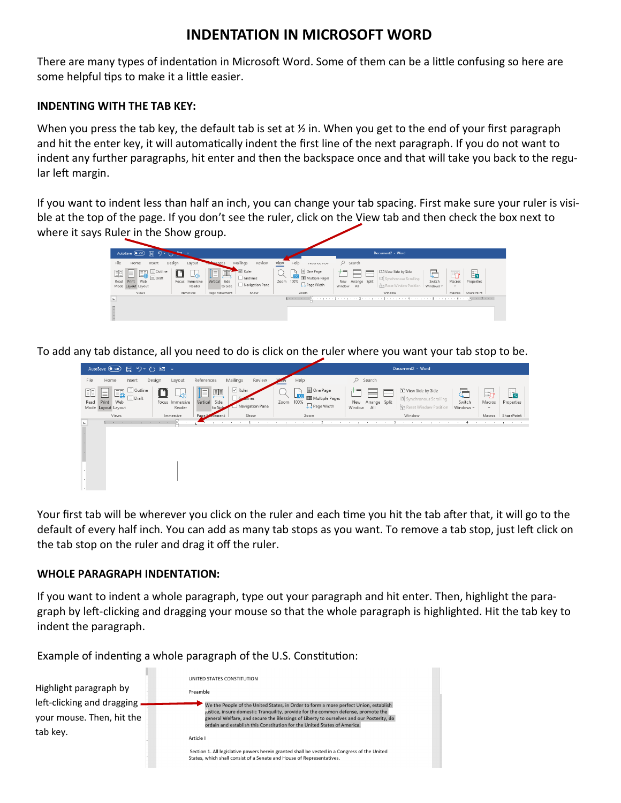## **INDENTATION IN MICROSOFT WORD**

There are many types of indentation in Microsoft Word. Some of them can be a little confusing so here are some helpful tips to make it a little easier.

## **INDENTING WITH THE TAB KEY:**

When you press the tab key, the default tab is set at  $\frac{1}{2}$  in. When you get to the end of your first paragraph and hit the enter key, it will automatically indent the first line of the next paragraph. If you do not want to indent any further paragraphs, hit enter and then the backspace once and that will take you back to the regular left margin.

If you want to indent less than half an inch, you can change your tab spacing. First make sure your ruler is visible at the top of the page. If you don't see the ruler, click on the View tab and then check the box next to where it says Ruler in the Show group.

|                                                                                         | $207 - 7$                 |                               |                                                  |                                                                       |                                      | Document2 - Word                                                                                         |                                                    |                  |
|-----------------------------------------------------------------------------------------|---------------------------|-------------------------------|--------------------------------------------------|-----------------------------------------------------------------------|--------------------------------------|----------------------------------------------------------------------------------------------------------|----------------------------------------------------|------------------|
| File<br>Home<br>Insert                                                                  | Design<br>Layout          | erences                       | Mailings<br>Review                               | View<br>Help<br><b>INMOINE FUT</b>                                    | $O$ Search                           |                                                                                                          |                                                    |                  |
| Outline<br>睴<br>Enl<br>E.<br>Eo<br>$\Box$ Draft<br>Read Print Web<br>Mode Layout Layout | Focus Immersive<br>Reader | T<br>Vertical Side<br>to Side | $\sqrt{ }$ Ruler<br>Gridlines<br>Navigation Pane | One Page<br>D.<br><b>EE</b> Multiple Pages<br>Zoom 100%<br>Page Width | ÷<br>New Arrange Split<br>Window All | <b>L'O</b> View Side by Side<br><sup>[B]</sup> Synchronous Scrolling<br><b>Pin</b> Reset Window Position | q<br>Switch<br>Macros<br>Windows ~<br>$\checkmark$ | E,<br>Properties |
| <b>Views</b>                                                                            | Immersive                 | Page Movement                 | Show                                             | Zoom                                                                  |                                      | Window                                                                                                   | Macros                                             | SharePoint       |
| H.                                                                                      |                           |                               |                                                  |                                                                       |                                      |                                                                                                          |                                                    |                  |

To add any tab distance, all you need to do is click on the ruler where you want your tab stop to be.

|        | AutoSave ● Off) 円 り ~ (') 凹 ▽              |                                  |        |                           |                                      |                       |                 |      |                                                                                                         |                                 | Document2 - Word                                                                                            |                          |                            |                                        |
|--------|--------------------------------------------|----------------------------------|--------|---------------------------|--------------------------------------|-----------------------|-----------------|------|---------------------------------------------------------------------------------------------------------|---------------------------------|-------------------------------------------------------------------------------------------------------------|--------------------------|----------------------------|----------------------------------------|
| File   | Home                                       | Insert                           | Design | Layout                    | References                           | Mailings              | Review          |      | Help                                                                                                    | $O$ Search                      |                                                                                                             |                          |                            |                                        |
| Read   | E8<br>≣<br>Print Web<br>Mode Layout Layout | <b>Dutline</b><br>$\equiv$ Draft |        | Focus Immersive<br>Reader | 興<br>⊫<br>Vertical<br>Side<br>to Sid | $\sqrt{ }$ Ruler<br>G | Navigation Pane | Zoom | □ One Page<br>$\begin{array}{c} \n\Box \n\end{array}$<br><b>EE</b> Multiple Pages<br>100%<br>Page Width | New Arrange Split<br>Window All | <b>L'O</b> View Side by Side<br><sup>[B]</sup> Synchronous Scrolling<br><b>BR</b> Reset Window Position     | 5<br>Switch<br>Windows ~ | Ō<br>Macros<br>$\check{~}$ | 冔<br>Properties                        |
|        | Views                                      |                                  |        | Immersive                 | Page A<br>ovement                    |                       | Show            |      | Zoom                                                                                                    |                                 | Window                                                                                                      |                          | Macros                     | SharePoint                             |
| L.     |                                            |                                  |        |                           |                                      | the contract of the   |                 |      |                                                                                                         |                                 | $1 - i$ , and the set of the set of $2 - i$ , and the set of the set of $3 - i$ , and the set of the set of |                          |                            | As a series of the control of the con- |
|        |                                            |                                  |        |                           |                                      |                       |                 |      |                                                                                                         |                                 |                                                                                                             |                          |                            |                                        |
| $\sim$ |                                            |                                  |        |                           |                                      |                       |                 |      |                                                                                                         |                                 |                                                                                                             |                          |                            |                                        |

Your first tab will be wherever you click on the ruler and each time you hit the tab after that, it will go to the default of every half inch. You can add as many tab stops as you want. To remove a tab stop, just left click on the tab stop on the ruler and drag it off the ruler.

## **WHOLE PARAGRAPH INDENTATION:**

If you want to indent a whole paragraph, type out your paragraph and hit enter. Then, highlight the paragraph by left-clicking and dragging your mouse so that the whole paragraph is highlighted. Hit the tab key to indent the paragraph.

Example of indenting a whole paragraph of the U.S. Constitution: